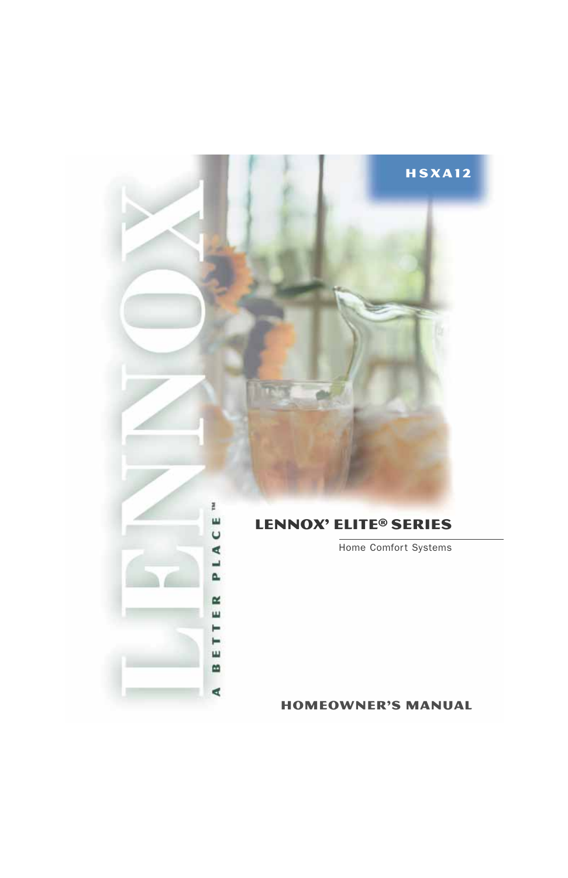# HSxa12



# Lennox' Elite® SERIES

Home Comfort Systems

1 homeowner's manual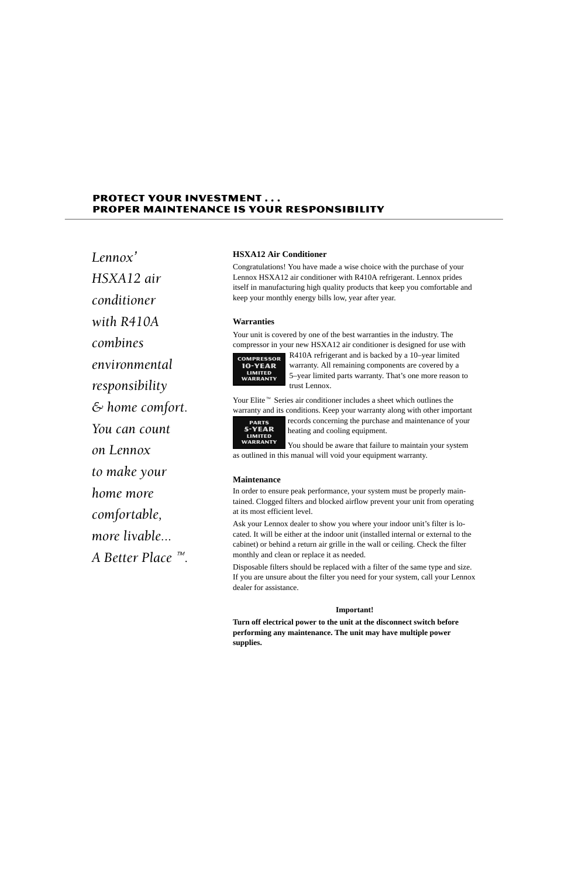# **PROTECT YOUR INVESTMENT...** PROPER MAINTENANCE IS YOUR RESPONSIBILITY

Lennox' HSXA12 air <u>conditioner</u> with R410A combines environmental responsibility  $\mathfrak{S}% _{n}$  home comfort. You can count on Lennox to make your home more comfortable, more livable... A Better Place  $\mathbb{R}$ .

## **HSXA12 Air Conditioner**

Congratulations! You have made a wise choice with the purchase of your Lennox HSXA12 air conditioner with R410A refrigerant. Lennox prides itself in manufacturing high quality products that keep you comfortable and keep your monthly energy bills low, year after year.

## **Warranties**

Your unit is covered by one of the best warranties in the industry. The compressor in your new HSXA12 air conditioner is designed for use with



R410A refrigerant and is backed by a 10–year limited warranty. All remaining components are covered by a 5–year limited parts warranty. That's one more reason to trust Lennox.

Your Elite<sup> $M$ </sup> Series air conditioner includes a sheet which outlines the warranty and its conditions. Keep your warranty along with other important



records concerning the purchase and maintenance of your heating and cooling equipment.

You should be aware that failure to maintain your system as outlined in this manual will void your equipment warranty.

## **Maintenance**

In order to ensure peak performance, your system must be properly maintained. Clogged filters and blocked airflow prevent your unit from operating at its most efficient level.

Ask your Lennox dealer to show you where your indoor unit's filter is located. It will be either at the indoor unit (installed internal or external to the cabinet) or behind a return air grille in the wall or ceiling. Check the filter monthly and clean or replace it as needed.

Disposable filters should be replaced with a filter of the same type and size. If you are unsure about the filter you need for your system, call your Lennox dealer for assistance.

## **Important!**

**Turn off electrical power to the unit at the disconnect switch before performing any maintenance. The unit may have multiple power supplies.**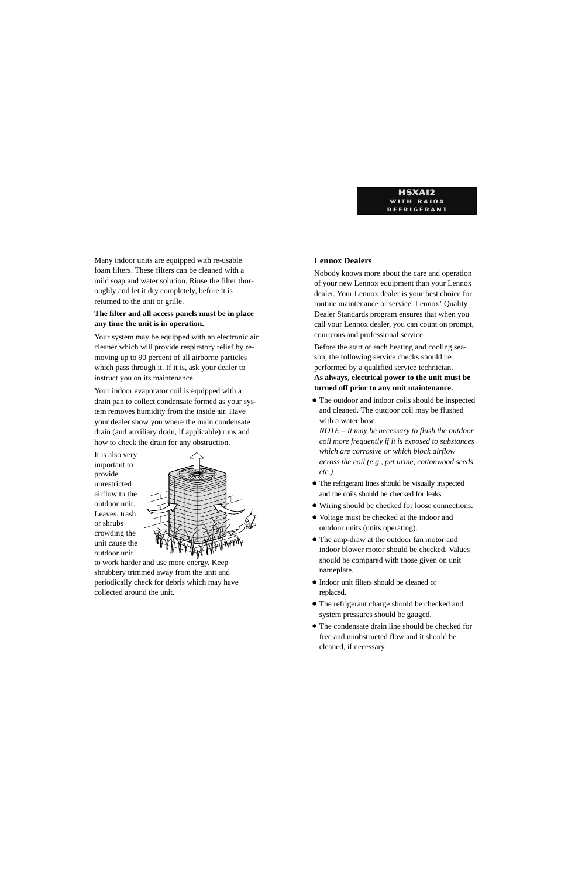Many indoor units are equipped with re-usable foam filters. These filters can be cleaned with a mild soap and water solution. Rinse the filter thoroughly and let it dry completely, before it is returned to the unit or grille.

## **The filter and all access panels must be in place any time the unit is in operation.**

Your system may be equipped with an electronic air cleaner which will provide respiratory relief by removing up to 90 percent of all airborne particles which pass through it. If it is, ask your dealer to instruct you on its maintenance.

Your indoor evaporator coil is equipped with a drain pan to collect condensate formed as your system removes humidity from the inside air. Have your dealer show you where the main condensate drain (and auxiliary drain, if applicable) runs and how to check the drain for any obstruction.

It is also very important to provide unrestricted airflow to the outdoor unit. Leaves, trash or shrubs crowding the unit cause the outdoor unit



to work harder and use more energy. Keep shrubbery trimmed away from the unit and periodically check for debris which may have collected around the unit.

# **Lennox Dealers**

Nobody knows more about the care and operation of your new Lennox equipment than your Lennox dealer. Your Lennox dealer is your best choice for routine maintenance or service. Lennox' Quality Dealer Standards program ensures that when you call your Lennox dealer, you can count on prompt, courteous and professional service.

Before the start of each heating and cooling season, the following service checks should be performed by a qualified service technician. **As always, electrical power to the unit must be turned off prior to any unit maintenance.**

- The outdoor and indoor coils should be inspected and cleaned. The outdoor coil may be flushed with a water hose.

*NOTE – It may be necessary to flush the outdoor coil more frequently if it is exposed to substances which are corrosive or which block airflow across the coil (e.g., pet urine, cottonwood seeds, etc.)*

- The refrigerant lines should be visually inspected and the coils should be checked for leaks.
- Wiring should be checked for loose connections.
- Voltage must be checked at the indoor and outdoor units (units operating).
- The amp-draw at the outdoor fan motor and indoor blower motor should be checked. Values should be compared with those given on unit nameplate.
- Indoor unit filters should be cleaned or replaced.
- The refrigerant charge should be checked and system pressures should be gauged.
- The condensate drain line should be checked for free and unobstructed flow and it should be cleaned, if necessary.